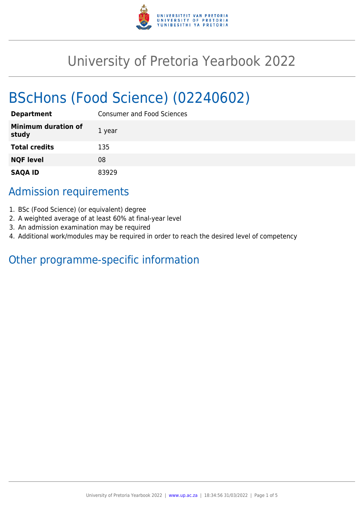

# University of Pretoria Yearbook 2022

# BScHons (Food Science) (02240602)

| <b>Department</b>                   | <b>Consumer and Food Sciences</b> |
|-------------------------------------|-----------------------------------|
| <b>Minimum duration of</b><br>study | 1 year                            |
| <b>Total credits</b>                | 135                               |
| <b>NQF level</b>                    | 08                                |
| <b>SAQA ID</b>                      | 83929                             |

# Admission requirements

- 1. BSc (Food Science) (or equivalent) degree
- 2. A weighted average of at least 60% at final-year level
- 3. An admission examination may be required
- 4. Additional work/modules may be required in order to reach the desired level of competency

# Other programme-specific information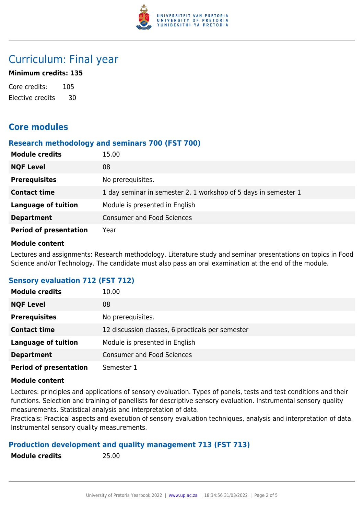

# Curriculum: Final year

### **Minimum credits: 135**

Core credits: 105 Elective credits 30

# **Core modules**

#### **Research methodology and seminars 700 (FST 700)**

| <b>Module credits</b>         | 15.00                                                           |
|-------------------------------|-----------------------------------------------------------------|
| <b>NQF Level</b>              | 08                                                              |
| <b>Prerequisites</b>          | No prerequisites.                                               |
| <b>Contact time</b>           | 1 day seminar in semester 2, 1 workshop of 5 days in semester 1 |
| <b>Language of tuition</b>    | Module is presented in English                                  |
| <b>Department</b>             | <b>Consumer and Food Sciences</b>                               |
| <b>Period of presentation</b> | Year                                                            |

#### **Module content**

Lectures and assignments: Research methodology. Literature study and seminar presentations on topics in Food Science and/or Technology. The candidate must also pass an oral examination at the end of the module.

## **Sensory evaluation 712 (FST 712)**

| <b>Module credits</b>         | 10.00                                            |
|-------------------------------|--------------------------------------------------|
| <b>NQF Level</b>              | 08                                               |
| <b>Prerequisites</b>          | No prerequisites.                                |
| <b>Contact time</b>           | 12 discussion classes, 6 practicals per semester |
| <b>Language of tuition</b>    | Module is presented in English                   |
| <b>Department</b>             | <b>Consumer and Food Sciences</b>                |
| <b>Period of presentation</b> | Semester 1                                       |

#### **Module content**

Lectures: principles and applications of sensory evaluation. Types of panels, tests and test conditions and their functions. Selection and training of panellists for descriptive sensory evaluation. Instrumental sensory quality measurements. Statistical analysis and interpretation of data.

Practicals: Practical aspects and execution of sensory evaluation techniques, analysis and interpretation of data. Instrumental sensory quality measurements.

## **Production development and quality management 713 (FST 713)**

**Module credits** 25.00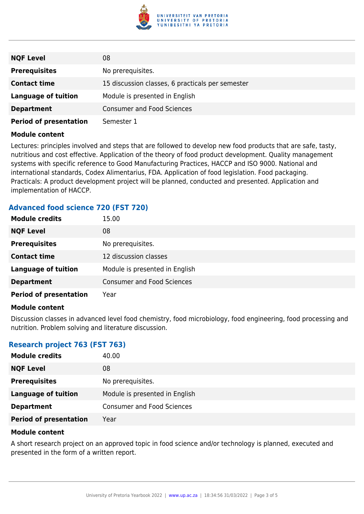

| <b>NQF Level</b>              | 08                                               |
|-------------------------------|--------------------------------------------------|
| <b>Prerequisites</b>          | No prerequisites.                                |
| <b>Contact time</b>           | 15 discussion classes, 6 practicals per semester |
| <b>Language of tuition</b>    | Module is presented in English                   |
| <b>Department</b>             | <b>Consumer and Food Sciences</b>                |
| <b>Period of presentation</b> | Semester 1                                       |

#### **Module content**

Lectures: principles involved and steps that are followed to develop new food products that are safe, tasty, nutritious and cost effective. Application of the theory of food product development. Quality management systems with specific reference to Good Manufacturing Practices, HACCP and ISO 9000. National and international standards, Codex Alimentarius, FDA. Application of food legislation. Food packaging. Practicals: A product development project will be planned, conducted and presented. Application and implementation of HACCP.

| <b>Advanced food science 720 (FST 720)</b> |  |  |  |
|--------------------------------------------|--|--|--|
|                                            |  |  |  |

| <b>Module credits</b>         | 15.00                             |
|-------------------------------|-----------------------------------|
| <b>NQF Level</b>              | 08                                |
| <b>Prerequisites</b>          | No prerequisites.                 |
| <b>Contact time</b>           | 12 discussion classes             |
| <b>Language of tuition</b>    | Module is presented in English    |
| <b>Department</b>             | <b>Consumer and Food Sciences</b> |
| <b>Period of presentation</b> | Year                              |
|                               |                                   |

#### **Module content**

Discussion classes in advanced level food chemistry, food microbiology, food engineering, food processing and nutrition. Problem solving and literature discussion.

## **Research project 763 (FST 763)**

| <b>Module credits</b>         | 40.00                             |
|-------------------------------|-----------------------------------|
| <b>NQF Level</b>              | 08                                |
| <b>Prerequisites</b>          | No prerequisites.                 |
| <b>Language of tuition</b>    | Module is presented in English    |
| <b>Department</b>             | <b>Consumer and Food Sciences</b> |
| <b>Period of presentation</b> | Year                              |

#### **Module content**

A short research project on an approved topic in food science and/or technology is planned, executed and presented in the form of a written report.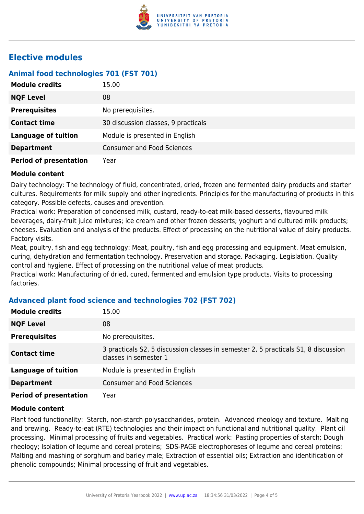

# **Elective modules**

# **Animal food technologies 701 (FST 701)**

| <b>Module credits</b>         | 15.00                               |
|-------------------------------|-------------------------------------|
| <b>NQF Level</b>              | 08                                  |
| <b>Prerequisites</b>          | No prerequisites.                   |
| <b>Contact time</b>           | 30 discussion classes, 9 practicals |
| <b>Language of tuition</b>    | Module is presented in English      |
| <b>Department</b>             | <b>Consumer and Food Sciences</b>   |
| <b>Period of presentation</b> | Year                                |

#### **Module content**

Dairy technology: The technology of fluid, concentrated, dried, frozen and fermented dairy products and starter cultures. Requirements for milk supply and other ingredients. Principles for the manufacturing of products in this category. Possible defects, causes and prevention.

Practical work: Preparation of condensed milk, custard, ready-to-eat milk-based desserts, flavoured milk beverages, dairy-fruit juice mixtures; ice cream and other frozen desserts; yoghurt and cultured milk products; cheeses. Evaluation and analysis of the products. Effect of processing on the nutritional value of dairy products. Factory visits.

Meat, poultry, fish and egg technology: Meat, poultry, fish and egg processing and equipment. Meat emulsion, curing, dehydration and fermentation technology. Preservation and storage. Packaging. Legislation. Quality control and hygiene. Effect of processing on the nutritional value of meat products.

Practical work: Manufacturing of dried, cured, fermented and emulsion type products. Visits to processing factories.

## **Advanced plant food science and technologies 702 (FST 702)**

| <b>Module credits</b>         | 15.00                                                                                                       |
|-------------------------------|-------------------------------------------------------------------------------------------------------------|
| <b>NQF Level</b>              | 08                                                                                                          |
| <b>Prerequisites</b>          | No prerequisites.                                                                                           |
| <b>Contact time</b>           | 3 practicals S2, 5 discussion classes in semester 2, 5 practicals S1, 8 discussion<br>classes in semester 1 |
| <b>Language of tuition</b>    | Module is presented in English                                                                              |
| <b>Department</b>             | <b>Consumer and Food Sciences</b>                                                                           |
| <b>Period of presentation</b> | Year                                                                                                        |

#### **Module content**

Plant food functionality: Starch, non-starch polysaccharides, protein. Advanced rheology and texture. Malting and brewing. Ready-to-eat (RTE) technologies and their impact on functional and nutritional quality. Plant oil processing. Minimal processing of fruits and vegetables. Practical work: Pasting properties of starch; Dough rheology; Isolation of legume and cereal proteins; SDS-PAGE electrophoreses of legume and cereal proteins; Malting and mashing of sorghum and barley male; Extraction of essential oils; Extraction and identification of phenolic compounds; Minimal processing of fruit and vegetables.